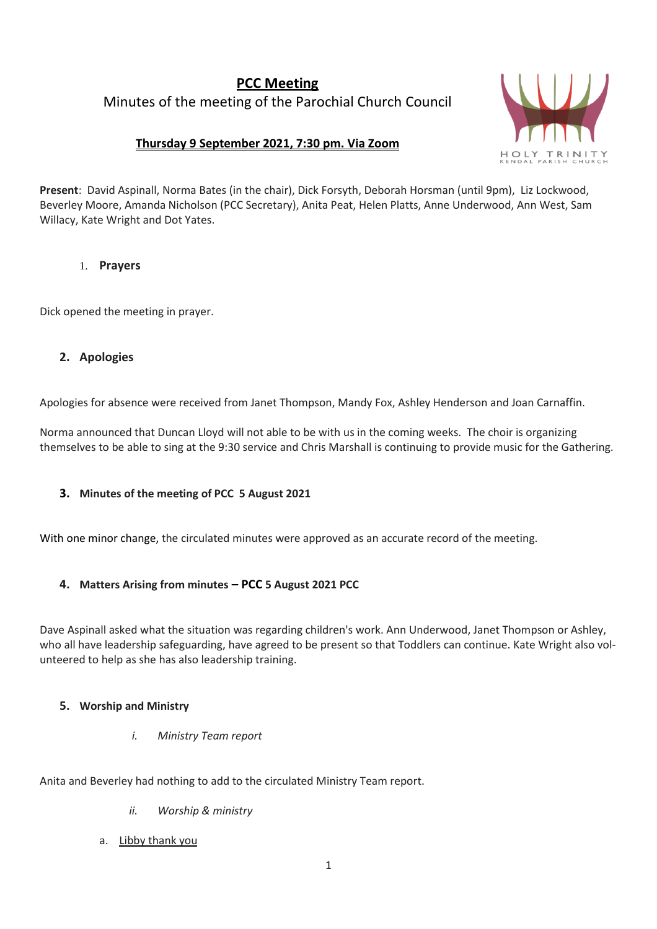# **PCC Meeting** Minutes of the meeting of the Parochial Church Council

# **Thursday 9 September 2021, 7:30 pm. Via Zoom**



**Present**: David Aspinall, Norma Bates (in the chair), Dick Forsyth, Deborah Horsman (until 9pm), Liz Lockwood, Beverley Moore, Amanda Nicholson (PCC Secretary), Anita Peat, Helen Platts, Anne Underwood, Ann West, Sam Willacy, Kate Wright and Dot Yates.

# 1. **Prayers**

Dick opened the meeting in prayer.

# **2. Apologies**

Apologies for absence were received from Janet Thompson, Mandy Fox, Ashley Henderson and Joan Carnaffin.

Norma announced that Duncan Lloyd will not able to be with us in the coming weeks. The choir is organizing themselves to be able to sing at the 9:30 service and Chris Marshall is continuing to provide music for the Gathering.

#### **3. Minutes of the meeting of PCC 5 August 2021**

With one minor change, the circulated minutes were approved as an accurate record of the meeting.

#### **4. Matters Arising from minutes – PCC 5 August 2021 PCC**

Dave Aspinall asked what the situation was regarding children's work. Ann Underwood, Janet Thompson or Ashley, who all have leadership safeguarding, have agreed to be present so that Toddlers can continue. Kate Wright also volunteered to help as she has also leadership training.

#### **5. Worship and Ministry**

*i. Ministry Team report*

Anita and Beverley had nothing to add to the circulated Ministry Team report.

- *ii. Worship & ministry*
- a. Libby thank you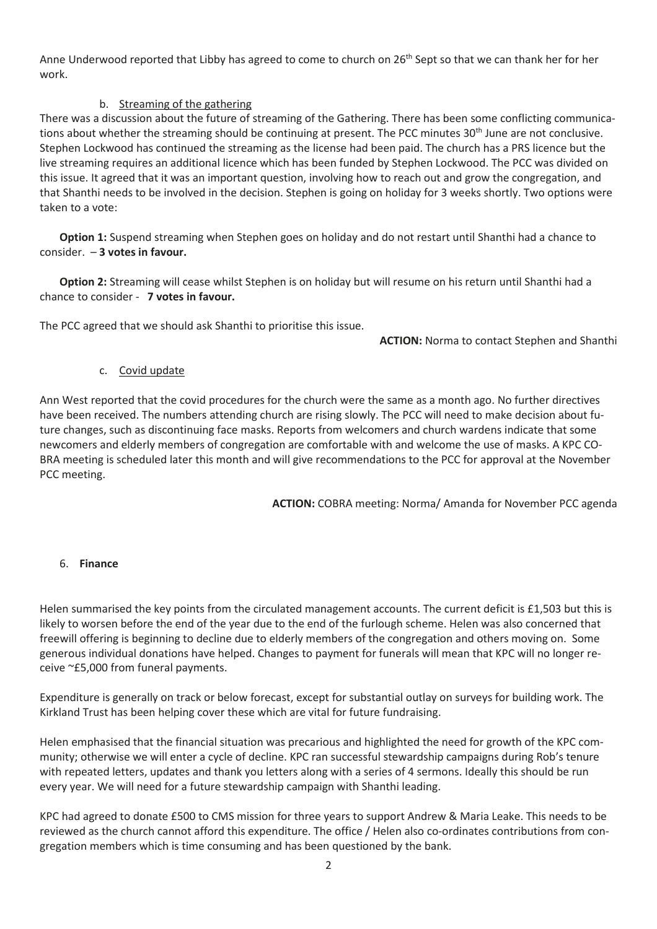Anne Underwood reported that Libby has agreed to come to church on 26<sup>th</sup> Sept so that we can thank her for her work.

# b. Streaming of the gathering

There was a discussion about the future of streaming of the Gathering. There has been some conflicting communications about whether the streaming should be continuing at present. The PCC minutes 30<sup>th</sup> June are not conclusive. Stephen Lockwood has continued the streaming as the license had been paid. The church has a PRS licence but the live streaming requires an additional licence which has been funded by Stephen Lockwood. The PCC was divided on this issue. It agreed that it was an important question, involving how to reach out and grow the congregation, and that Shanthi needs to be involved in the decision. Stephen is going on holiday for 3 weeks shortly. Two options were taken to a vote:

**Option 1:** Suspend streaming when Stephen goes on holiday and do not restart until Shanthi had a chance to consider. – **3 votes in favour.**

**Option 2:** Streaming will cease whilst Stephen is on holiday but will resume on his return until Shanthi had a chance to consider - **7 votes in favour.**

The PCC agreed that we should ask Shanthi to prioritise this issue.

**ACTION:** Norma to contact Stephen and Shanthi

#### c. Covid update

Ann West reported that the covid procedures for the church were the same as a month ago. No further directives have been received. The numbers attending church are rising slowly. The PCC will need to make decision about future changes, such as discontinuing face masks. Reports from welcomers and church wardens indicate that some newcomers and elderly members of congregation are comfortable with and welcome the use of masks. A KPC CO-BRA meeting is scheduled later this month and will give recommendations to the PCC for approval at the November PCC meeting.

**ACTION:** COBRA meeting: Norma/ Amanda for November PCC agenda

#### 6. **Finance**

Helen summarised the key points from the circulated management accounts. The current deficit is £1,503 but this is likely to worsen before the end of the year due to the end of the furlough scheme. Helen was also concerned that freewill offering is beginning to decline due to elderly members of the congregation and others moving on. Some generous individual donations have helped. Changes to payment for funerals will mean that KPC will no longer receive ~£5,000 from funeral payments.

Expenditure is generally on track or below forecast, except for substantial outlay on surveys for building work. The Kirkland Trust has been helping cover these which are vital for future fundraising.

Helen emphasised that the financial situation was precarious and highlighted the need for growth of the KPC community; otherwise we will enter a cycle of decline. KPC ran successful stewardship campaigns during Rob's tenure with repeated letters, updates and thank you letters along with a series of 4 sermons. Ideally this should be run every year. We will need for a future stewardship campaign with Shanthi leading.

KPC had agreed to donate £500 to CMS mission for three years to support Andrew & Maria Leake. This needs to be reviewed as the church cannot afford this expenditure. The office / Helen also co-ordinates contributions from congregation members which is time consuming and has been questioned by the bank.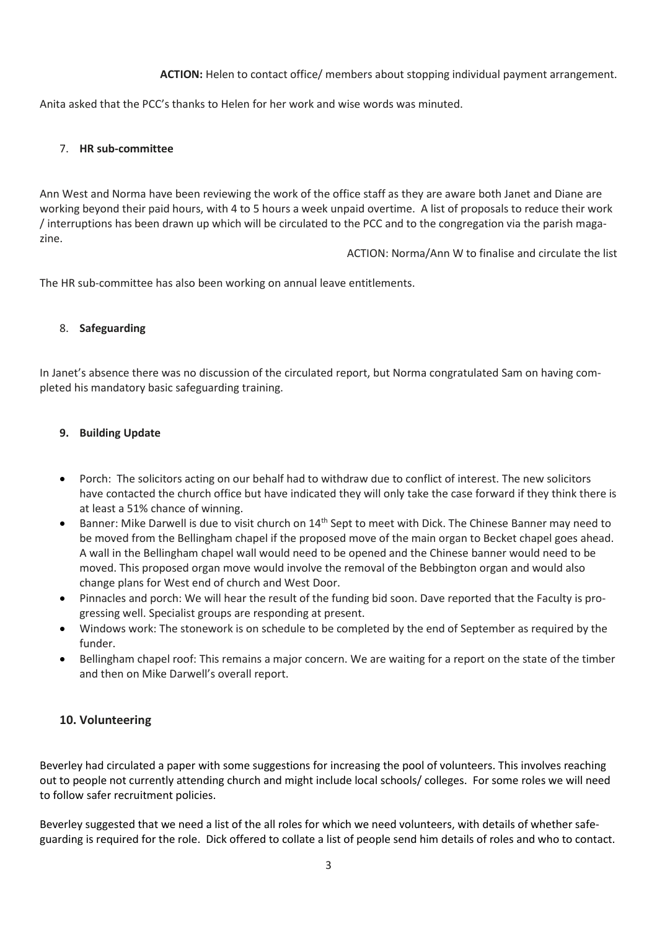**ACTION:** Helen to contact office/ members about stopping individual payment arrangement.

Anita asked that the PCC's thanks to Helen for her work and wise words was minuted.

#### 7. **HR sub-committee**

Ann West and Norma have been reviewing the work of the office staff as they are aware both Janet and Diane are working beyond their paid hours, with 4 to 5 hours a week unpaid overtime. A list of proposals to reduce their work / interruptions has been drawn up which will be circulated to the PCC and to the congregation via the parish magazine.

ACTION: Norma/Ann W to finalise and circulate the list

The HR sub-committee has also been working on annual leave entitlements.

#### 8. **Safeguarding**

In Janet's absence there was no discussion of the circulated report, but Norma congratulated Sam on having completed his mandatory basic safeguarding training.

#### **9. Building Update**

- Porch: The solicitors acting on our behalf had to withdraw due to conflict of interest. The new solicitors have contacted the church office but have indicated they will only take the case forward if they think there is at least a 51% chance of winning.
- Banner: Mike Darwell is due to visit church on  $14<sup>th</sup>$  Sept to meet with Dick. The Chinese Banner may need to be moved from the Bellingham chapel if the proposed move of the main organ to Becket chapel goes ahead. A wall in the Bellingham chapel wall would need to be opened and the Chinese banner would need to be moved. This proposed organ move would involve the removal of the Bebbington organ and would also change plans for West end of church and West Door.
- Pinnacles and porch: We will hear the result of the funding bid soon. Dave reported that the Faculty is progressing well. Specialist groups are responding at present.
- Windows work: The stonework is on schedule to be completed by the end of September as required by the funder.
- Bellingham chapel roof: This remains a major concern. We are waiting for a report on the state of the timber and then on Mike Darwell's overall report.

#### **10. Volunteering**

Beverley had circulated a paper with some suggestions for increasing the pool of volunteers. This involves reaching out to people not currently attending church and might include local schools/ colleges. For some roles we will need to follow safer recruitment policies.

Beverley suggested that we need a list of the all roles for which we need volunteers, with details of whether safeguarding is required for the role. Dick offered to collate a list of people send him details of roles and who to contact.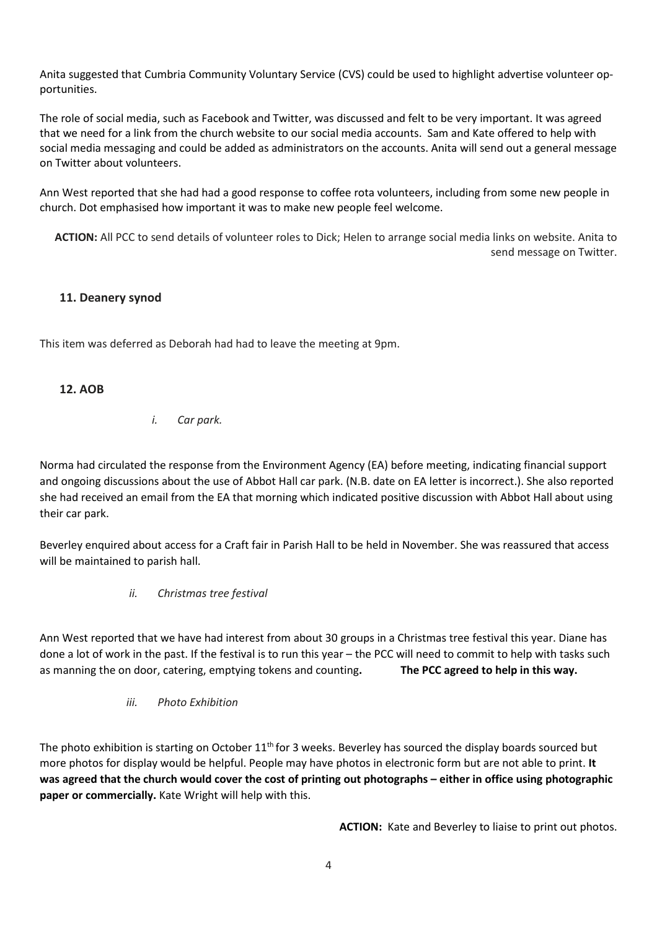Anita suggested that Cumbria Community Voluntary Service (CVS) could be used to highlight advertise volunteer opportunities.

The role of social media, such as Facebook and Twitter, was discussed and felt to be very important. It was agreed that we need for a link from the church website to our social media accounts. Sam and Kate offered to help with social media messaging and could be added as administrators on the accounts. Anita will send out a general message on Twitter about volunteers.

Ann West reported that she had had a good response to coffee rota volunteers, including from some new people in church. Dot emphasised how important it was to make new people feel welcome.

**ACTION:** All PCC to send details of volunteer roles to Dick; Helen to arrange social media links on website. Anita to send message on Twitter.

# **11. Deanery synod**

This item was deferred as Deborah had had to leave the meeting at 9pm.

# **12. AOB**

#### *i. Car park.*

Norma had circulated the response from the Environment Agency (EA) before meeting, indicating financial support and ongoing discussions about the use of Abbot Hall car park. (N.B. date on EA letter is incorrect.). She also reported she had received an email from the EA that morning which indicated positive discussion with Abbot Hall about using their car park.

Beverley enquired about access for a Craft fair in Parish Hall to be held in November. She was reassured that access will be maintained to parish hall.

*ii. Christmas tree festival*

Ann West reported that we have had interest from about 30 groups in a Christmas tree festival this year. Diane has done a lot of work in the past. If the festival is to run this year – the PCC will need to commit to help with tasks such as manning the on door, catering, emptying tokens and counting**. The PCC agreed to help in this way.**

*iii. Photo Exhibition*

The photo exhibition is starting on October  $11<sup>th</sup>$  for 3 weeks. Beverley has sourced the display boards sourced but more photos for display would be helpful. People may have photos in electronic form but are not able to print. **It** was agreed that the church would cover the cost of printing out photographs – either in office using photographic **paper or commercially.** Kate Wright will help with this.

**ACTION:** Kate and Beverley to liaise to print out photos.